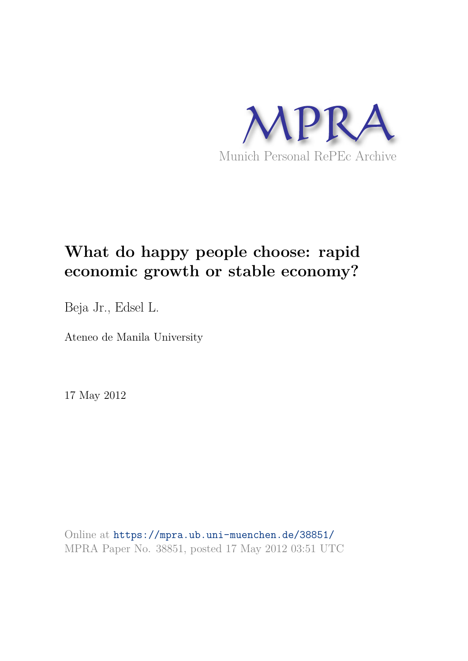

# **What do happy people choose: rapid economic growth or stable economy?**

Beja Jr., Edsel L.

Ateneo de Manila University

17 May 2012

Online at https://mpra.ub.uni-muenchen.de/38851/ MPRA Paper No. 38851, posted 17 May 2012 03:51 UTC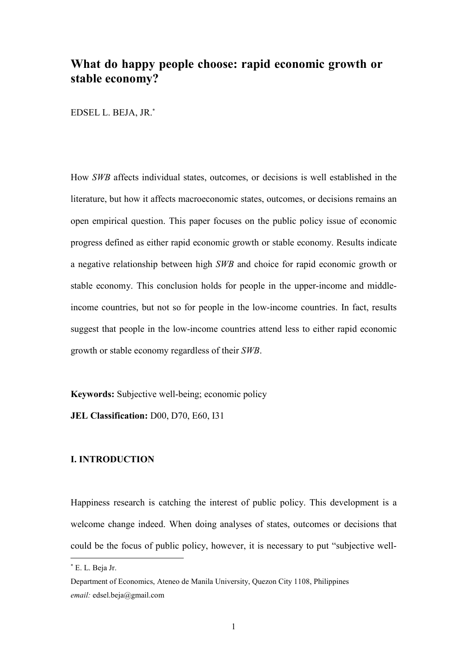## What do happy people choose: rapid economic growth or stable economy?

EDSEL L. BEJA, JR.\*

How SWB affects individual states, outcomes, or decisions is well established in the literature, but how it affects macroeconomic states, outcomes, or decisions remains an open empirical question. This paper focuses on the public policy issue of economic progress defined as either rapid economic growth or stable economy. Results indicate a negative relationship between high SWB and choice for rapid economic growth or stable economy. This conclusion holds for people in the upper-income and middleincome countries, but not so for people in the low-income countries. In fact, results suggest that people in the low-income countries attend less to either rapid economic growth or stable economy regardless of their SWB.

**Keywords:** Subjective well-being; economic policy

JEL Classification: D00, D70, E60, I31

### **L. INTRODUCTION**

Happiness research is catching the interest of public policy. This development is a welcome change indeed. When doing analyses of states, outcomes or decisions that could be the focus of public policy, however, it is necessary to put "subjective well-

<sup>\*</sup> E. L. Beja Jr.

Department of Economics, Ateneo de Manila University, Quezon City 1108, Philippines email: edsel.beja@gmail.com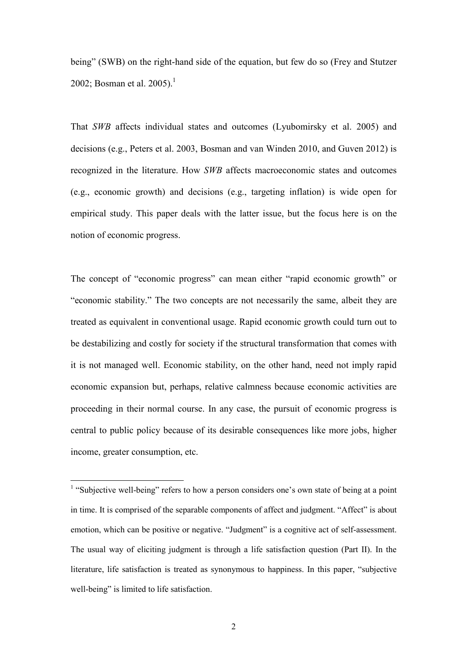being" (SWB) on the right-hand side of the equation, but few do so (Frey and Stutzer 2002: Bosman et al.  $2005$ <sup>1</sup>

That SWB affects individual states and outcomes (Lyubomirsky et al. 2005) and decisions (e.g., Peters et al. 2003, Bosman and van Winden 2010, and Guven 2012) is recognized in the literature. How SWB affects macroeconomic states and outcomes (e.g., economic growth) and decisions (e.g., targeting inflation) is wide open for empirical study. This paper deals with the latter issue, but the focus here is on the notion of economic progress.

The concept of "economic progress" can mean either "rapid economic growth" or "economic stability." The two concepts are not necessarily the same, albeit they are treated as equivalent in conventional usage. Rapid economic growth could turn out to be destabilizing and costly for society if the structural transformation that comes with it is not managed well. Economic stability, on the other hand, need not imply rapid economic expansion but, perhaps, relative calmness because economic activities are proceeding in their normal course. In any case, the pursuit of economic progress is central to public policy because of its desirable consequences like more jobs, higher income, greater consumption, etc.

<sup>&</sup>lt;sup>1</sup> "Subjective well-being" refers to how a person considers one's own state of being at a point in time. It is comprised of the separable components of affect and judgment. "Affect" is about emotion, which can be positive or negative. "Judgment" is a cognitive act of self-assessment. The usual way of eliciting judgment is through a life satisfaction question (Part II). In the literature, life satisfaction is treated as synonymous to happiness. In this paper, "subjective" well-being" is limited to life satisfaction.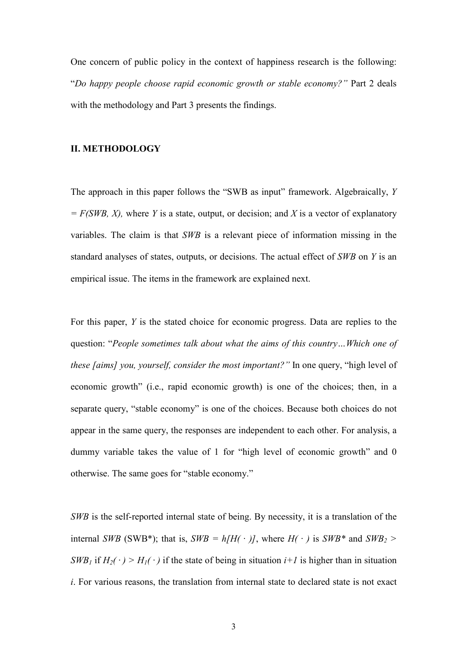One concern of public policy in the context of happiness research is the following: "Do happy people choose rapid economic growth or stable economy?" Part 2 deals with the methodology and Part 3 presents the findings.

#### **II. METHODOLOGY**

The approach in this paper follows the "SWB as input" framework. Algebraically, Y  $= F(SWB, X)$ , where Y is a state, output, or decision; and X is a vector of explanatory variables. The claim is that SWB is a relevant piece of information missing in the standard analyses of states, outputs, or decisions. The actual effect of SWB on Y is an empirical issue. The items in the framework are explained next.

For this paper, Y is the stated choice for economic progress. Data are replies to the question: "People sometimes talk about what the aims of this country... Which one of these [aims] you, yourself, consider the most important?" In one query, "high level of economic growth" (i.e., rapid economic growth) is one of the choices; then, in a separate query, "stable economy" is one of the choices. Because both choices do not appear in the same query, the responses are independent to each other. For analysis, a dummy variable takes the value of 1 for "high level of economic growth" and 0 otherwise. The same goes for "stable economy."

SWB is the self-reported internal state of being. By necessity, it is a translation of the internal SWB (SWB\*); that is, SWB =  $h/H(·)I$ , where  $H(·)$  is SWB\* and SWB<sub>2</sub> >  $SWB_1$  if  $H_2(\cdot) > H_1(\cdot)$  if the state of being in situation  $i+1$  is higher than in situation *i*. For various reasons, the translation from internal state to declared state is not exact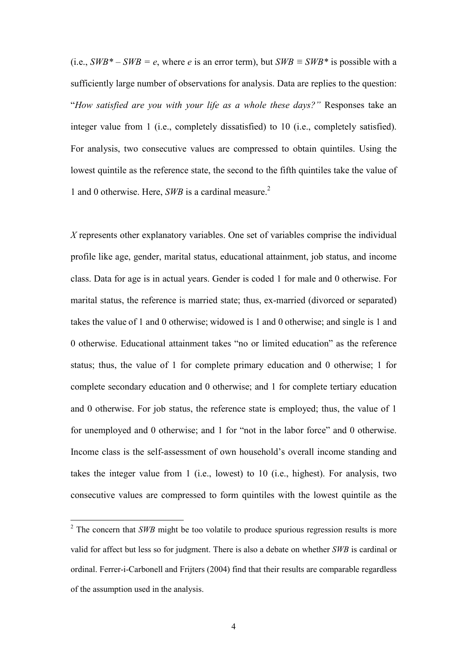(i.e.,  $SWB^* - SWB = e$ , where e is an error term), but  $SWB \equiv SWB^*$  is possible with a sufficiently large number of observations for analysis. Data are replies to the question: "How satisfied are you with your life as a whole these days?" Responses take an integer value from 1 (i.e., completely dissatisfied) to 10 (i.e., completely satisfied). For analysis, two consecutive values are compressed to obtain quintiles. Using the lowest quintile as the reference state, the second to the fifth quintiles take the value of 1 and 0 otherwise. Here,  $SWB$  is a cardinal measure.<sup>2</sup>

 $X$  represents other explanatory variables. One set of variables comprise the individual profile like age, gender, marital status, educational attainment, job status, and income class. Data for age is in actual years. Gender is coded 1 for male and 0 otherwise. For marital status, the reference is married state; thus, ex-married (divorced or separated) takes the value of 1 and 0 otherwise; widowed is 1 and 0 otherwise; and single is 1 and 0 otherwise. Educational attainment takes "no or limited education" as the reference status; thus, the value of 1 for complete primary education and 0 otherwise; 1 for complete secondary education and 0 otherwise; and 1 for complete tertiary education and 0 otherwise. For job status, the reference state is employed; thus, the value of 1 for unemployed and 0 otherwise; and 1 for "not in the labor force" and 0 otherwise. Income class is the self-assessment of own household's overall income standing and takes the integer value from 1 (i.e., lowest) to 10 (i.e., highest). For analysis, two consecutive values are compressed to form quintiles with the lowest quintile as the

 $\frac{2}{3}$  The concern that SWB might be too volatile to produce spurious regression results is more valid for affect but less so for judgment. There is also a debate on whether SWB is cardinal or ordinal. Ferrer-i-Carbonell and Frijters (2004) find that their results are comparable regardless of the assumption used in the analysis.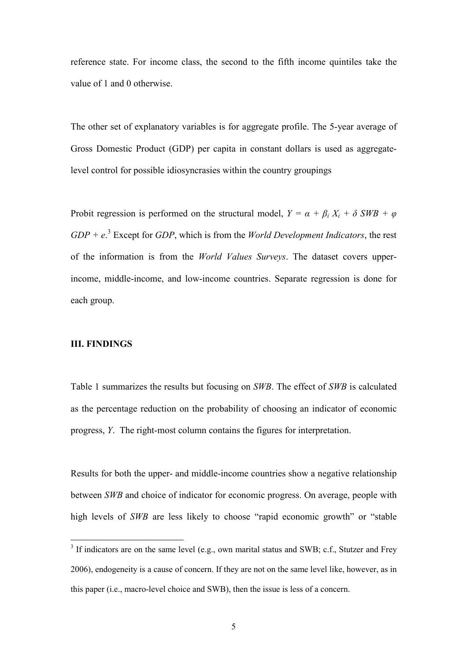reference state. For income class, the second to the fifth income quintiles take the value of 1 and 0 otherwise.

The other set of explanatory variables is for aggregate profile. The 5-year average of Gross Domestic Product (GDP) per capita in constant dollars is used as aggregatelevel control for possible idiosyncrasies within the country groupings

Probit regression is performed on the structural model,  $Y = \alpha + \beta_i X_i + \delta SWB + \varphi$  $GDP + e^3$  Except for  $GDP$ , which is from the *World Development Indicators*, the rest of the information is from the *World Values Surveys*. The dataset covers upperincome, middle-income, and low-income countries. Separate regression is done for each group.

#### **III. FINDINGS**

Table 1 summarizes the results but focusing on SWB. The effect of SWB is calculated as the percentage reduction on the probability of choosing an indicator of economic progress, *Y*. The right-most column contains the figures for interpretation.

Results for both the upper- and middle-income countries show a negative relationship between SWB and choice of indicator for economic progress. On average, people with high levels of SWB are less likely to choose "rapid economic growth" or "stable"

<sup>&</sup>lt;sup>3</sup> If indicators are on the same level (e.g., own marital status and SWB; c.f., Stutzer and Frey 2006), endogeneity is a cause of concern. If they are not on the same level like, however, as in this paper (i.e., macro-level choice and SWB), then the issue is less of a concern.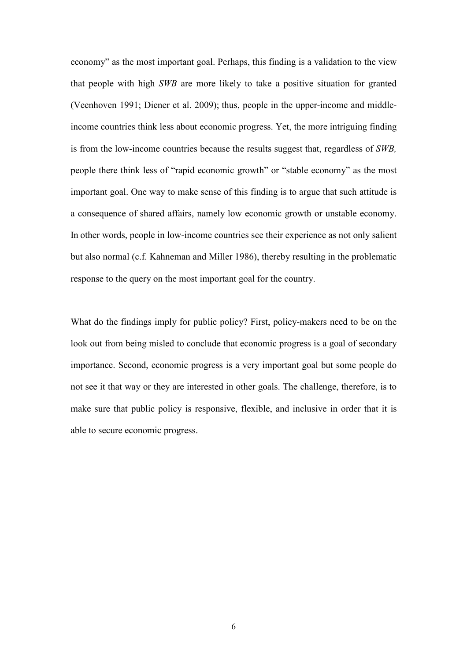economy" as the most important goal. Perhaps, this finding is a validation to the view that people with high SWB are more likely to take a positive situation for granted (Veenhoven 1991; Diener et al. 2009); thus, people in the upper-income and middleincome countries think less about economic progress. Yet, the more intriguing finding is from the low-income countries because the results suggest that, regardless of SWB, people there think less of "rapid economic growth" or "stable economy" as the most important goal. One way to make sense of this finding is to argue that such attitude is a consequence of shared affairs, namely low economic growth or unstable economy. In other words, people in low-income countries see their experience as not only salient but also normal (c.f. Kahneman and Miller 1986), thereby resulting in the problematic response to the query on the most important goal for the country.

What do the findings imply for public policy? First, policy-makers need to be on the look out from being misled to conclude that economic progress is a goal of secondary importance. Second, economic progress is a very important goal but some people do not see it that way or they are interested in other goals. The challenge, therefore, is to make sure that public policy is responsive, flexible, and inclusive in order that it is able to secure economic progress.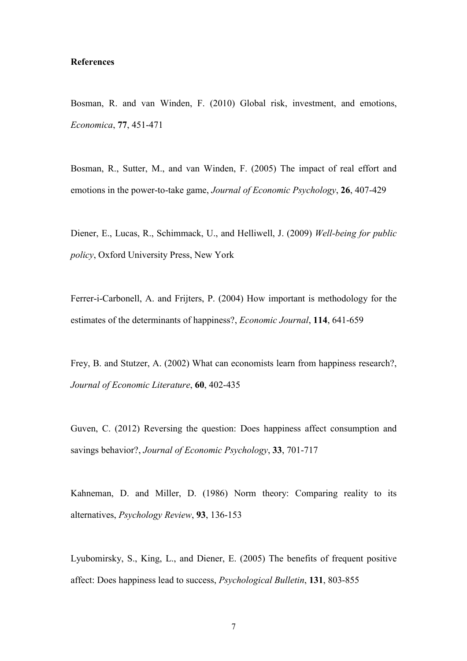#### **References**

Bosman, R. and van Winden, F. (2010) Global risk, investment, and emotions, Economica, 77, 451-471

Bosman, R., Sutter, M., and van Winden, F. (2005) The impact of real effort and emotions in the power-to-take game, *Journal of Economic Psychology*, 26, 407-429

Diener, E., Lucas, R., Schimmack, U., and Helliwell, J. (2009) Well-being for public policy, Oxford University Press, New York

Ferrer-i-Carbonell, A. and Frijters, P. (2004) How important is methodology for the estimates of the determinants of happiness?, *Economic Journal*, 114, 641-659

Frey, B. and Stutzer, A. (2002) What can economists learn from happiness research?, Journal of Economic Literature, 60, 402-435

Guven, C. (2012) Reversing the question: Does happiness affect consumption and savings behavior?, Journal of Economic Psychology, 33, 701-717

Kahneman, D. and Miller, D. (1986) Norm theory: Comparing reality to its alternatives, Psychology Review, 93, 136-153

Lyubomirsky, S., King, L., and Diener, E. (2005) The benefits of frequent positive affect: Does happiness lead to success, *Psychological Bulletin*, 131, 803-855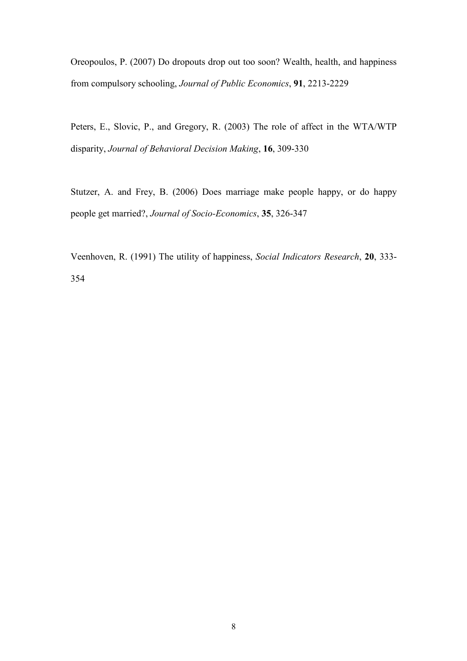Oreopoulos, P. (2007) Do dropouts drop out too soon? Wealth, health, and happiness from compulsory schooling, Journal of Public Economics, 91, 2213-2229

Peters, E., Slovic, P., and Gregory, R. (2003) The role of affect in the WTA/WTP disparity, Journal of Behavioral Decision Making, 16, 309-330

Stutzer, A. and Frey, B. (2006) Does marriage make people happy, or do happy people get married?, Journal of Socio-Economics, 35, 326-347

Veenhoven, R. (1991) The utility of happiness, Social Indicators Research, 20, 333-354